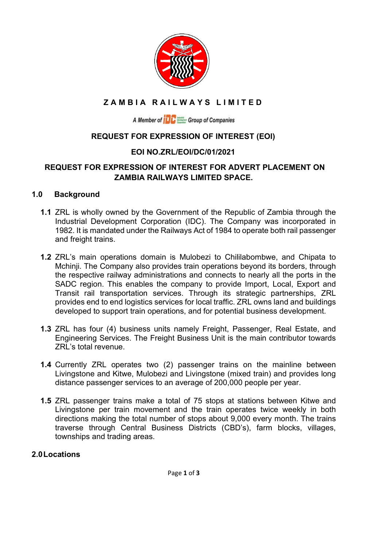

# **ZAMBIA RAILWAYS LIMITED**

A Member of **THE Section** Group of Companies

### **REQUEST FOR EXPRESSION OF INTEREST (EOI)**

### **EOI NO.ZRL/EOI/DC/01/2021**

### **REQUEST FOR EXPRESSION OF INTEREST FOR ADVERT PLACEMENT ON ZAMBIA RAILWAYS LIMITED SPACE.**

#### **1.0 Background**

- **1.1** ZRL is wholly owned by the Government of the Republic of Zambia through the Industrial Development Corporation (IDC). The Company was incorporated in 1982. It is mandated under the Railways Act of 1984 to operate both rail passenger and freight trains.
- **1.2** ZRL's main operations domain is Mulobezi to Chililabombwe, and Chipata to Mchinji. The Company also provides train operations beyond its borders, through the respective railway administrations and connects to nearly all the ports in the SADC region. This enables the company to provide Import, Local, Export and Transit rail transportation services. Through its strategic partnerships, ZRL provides end to end logistics services for local traffic. ZRL owns land and buildings developed to support train operations, and for potential business development.
- **1.3** ZRL has four (4) business units namely Freight, Passenger, Real Estate, and Engineering Services. The Freight Business Unit is the main contributor towards ZRL's total revenue.
- **1.4** Currently ZRL operates two (2) passenger trains on the mainline between Livingstone and Kitwe, Mulobezi and Livingstone (mixed train) and provides long distance passenger services to an average of 200,000 people per year.
- **1.5** ZRL passenger trains make a total of 75 stops at stations between Kitwe and Livingstone per train movement and the train operates twice weekly in both directions making the total number of stops about 9,000 every month. The trains traverse through Central Business Districts (CBD's), farm blocks, villages, townships and trading areas.

#### **2.0Locations**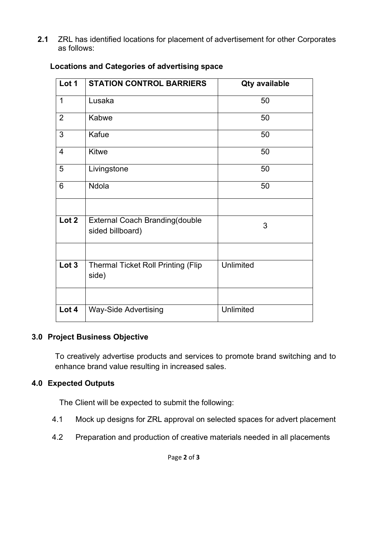**2.1** ZRL has identified locations for placement of advertisement for other Corporates as follows:

| Lot 1                    | <b>STATION CONTROL BARRIERS</b>                           | <b>Qty available</b> |
|--------------------------|-----------------------------------------------------------|----------------------|
| 1                        | Lusaka                                                    | 50                   |
| $\overline{2}$           | Kabwe                                                     | 50                   |
| 3                        | Kafue                                                     | 50                   |
| $\overline{\mathcal{A}}$ | <b>Kitwe</b>                                              | 50                   |
| 5                        | Livingstone                                               | 50                   |
| 6                        | Ndola                                                     | 50                   |
|                          |                                                           |                      |
| Lot 2                    | <b>External Coach Branding(double</b><br>sided billboard) | 3                    |
|                          |                                                           |                      |
| Lot 3                    | <b>Thermal Ticket Roll Printing (Flip</b><br>side)        | <b>Unlimited</b>     |
|                          |                                                           |                      |
| Lot 4                    | <b>Way-Side Advertising</b>                               | Unlimited            |

### **Locations and Categories of advertising space**

### **3.0 Project Business Objective**

To creatively advertise products and services to promote brand switching and to enhance brand value resulting in increased sales.

## **4.0 Expected Outputs**

The Client will be expected to submit the following:

- 4.1 Mock up designs for ZRL approval on selected spaces for advert placement
- 4.2 Preparation and production of creative materials needed in all placements